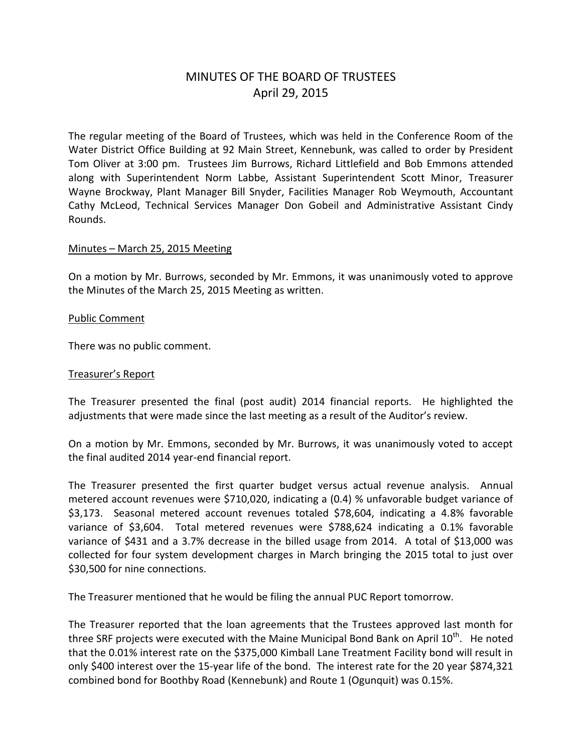# MINUTES OF THE BOARD OF TRUSTEES April 29, 2015

The regular meeting of the Board of Trustees, which was held in the Conference Room of the Water District Office Building at 92 Main Street, Kennebunk, was called to order by President Tom Oliver at 3:00 pm. Trustees Jim Burrows, Richard Littlefield and Bob Emmons attended along with Superintendent Norm Labbe, Assistant Superintendent Scott Minor, Treasurer Wayne Brockway, Plant Manager Bill Snyder, Facilities Manager Rob Weymouth, Accountant Cathy McLeod, Technical Services Manager Don Gobeil and Administrative Assistant Cindy Rounds.

#### Minutes – March 25, 2015 Meeting

On a motion by Mr. Burrows, seconded by Mr. Emmons, it was unanimously voted to approve the Minutes of the March 25, 2015 Meeting as written.

#### Public Comment

There was no public comment.

#### Treasurer's Report

The Treasurer presented the final (post audit) 2014 financial reports. He highlighted the adjustments that were made since the last meeting as a result of the Auditor's review.

On a motion by Mr. Emmons, seconded by Mr. Burrows, it was unanimously voted to accept the final audited 2014 year-end financial report.

The Treasurer presented the first quarter budget versus actual revenue analysis. Annual metered account revenues were \$710,020, indicating a (0.4) % unfavorable budget variance of \$3,173. Seasonal metered account revenues totaled \$78,604, indicating a 4.8% favorable variance of \$3,604. Total metered revenues were \$788,624 indicating a 0.1% favorable variance of \$431 and a 3.7% decrease in the billed usage from 2014. A total of \$13,000 was collected for four system development charges in March bringing the 2015 total to just over \$30,500 for nine connections.

The Treasurer mentioned that he would be filing the annual PUC Report tomorrow.

The Treasurer reported that the loan agreements that the Trustees approved last month for three SRF projects were executed with the Maine Municipal Bond Bank on April 10<sup>th</sup>. He noted that the 0.01% interest rate on the \$375,000 Kimball Lane Treatment Facility bond will result in only \$400 interest over the 15-year life of the bond. The interest rate for the 20 year \$874,321 combined bond for Boothby Road (Kennebunk) and Route 1 (Ogunquit) was 0.15%.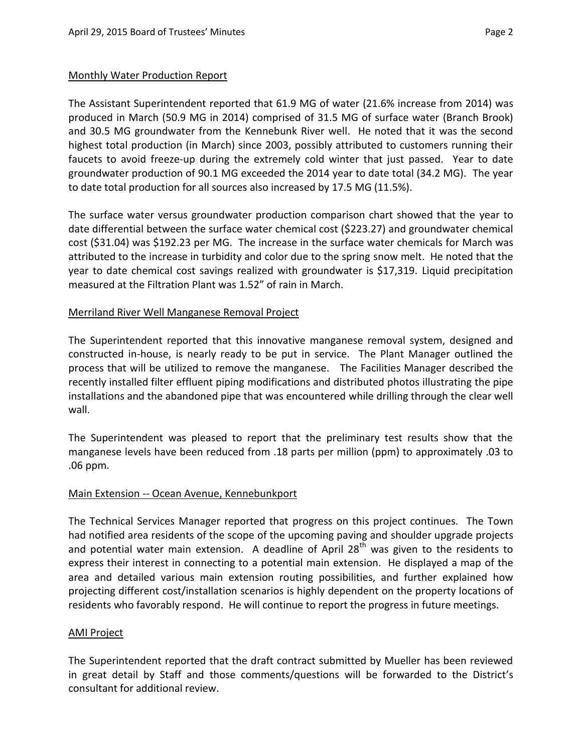### Monthly Water Production Report

The Assistant Superintendent reported that 61.9 MG of water (21.6% increase from 2014) was produced in March (50.9 MG in 2014) comprised of 31.5 MG of surface water (Branch Brook) and 30.5 MG groundwater from the Kennebunk River well. He noted that it was the second highest total production (in March) since 2003, possibly attributed to customers running their faucets to avoid freeze-up during the extremely cold winter that just passed. Year to date groundwater production of 90.1 MG exceeded the 2014 year to date total (34.2 MG). The year to date total production for all sources also increased by 17.5 MG (11.5%).

The surface water versus groundwater production comparison chart showed that the year to date differential between the surface water chemical cost (\$223.27) and groundwater chemical cost (\$31.04) was \$192.23 per MG. The increase in the surface water chemicals for March was attributed to the increase in turbidity and color due to the spring snow melt. He noted that the year to date chemical cost savings realized with groundwater is \$17,319. Liquid precipitation measured at the Filtration Plant was 1.52" of rain in March.

### Merriland River Well Manganese Removal Project

The Superintendent reported that this innovative manganese removal system, designed and constructed in-house, is nearly ready to be put in service. The Plant Manager outlined the process that will be utilized to remove the manganese. The Facilities Manager described the recently installed filter effluent piping modifications and distributed photos illustrating the pipe installations and the abandoned pipe that was encountered while drilling through the clear well wall.

The Superintendent was pleased to report that the preliminary test results show that the manganese levels have been reduced from .18 parts per million (ppm) to approximately .03 to .06 ppm.

# Main Extension -- Ocean Avenue, Kennebunkport

The Technical Services Manager reported that progress on this project continues. The Town had notified area residents of the scope of the upcoming paving and shoulder upgrade projects and potential water main extension. A deadline of April  $28<sup>th</sup>$  was given to the residents to express their interest in connecting to a potential main extension. He displayed a map of the area and detailed various main extension routing possibilities, and further explained how projecting different cost/installation scenarios is highly dependent on the property locations of residents who favorably respond. He will continue to report the progress in future meetings.

#### AMI Project

The Superintendent reported that the draft contract submitted by Mueller has been reviewed in great detail by Staff and those comments/questions will be forwarded to the District's consultant for additional review.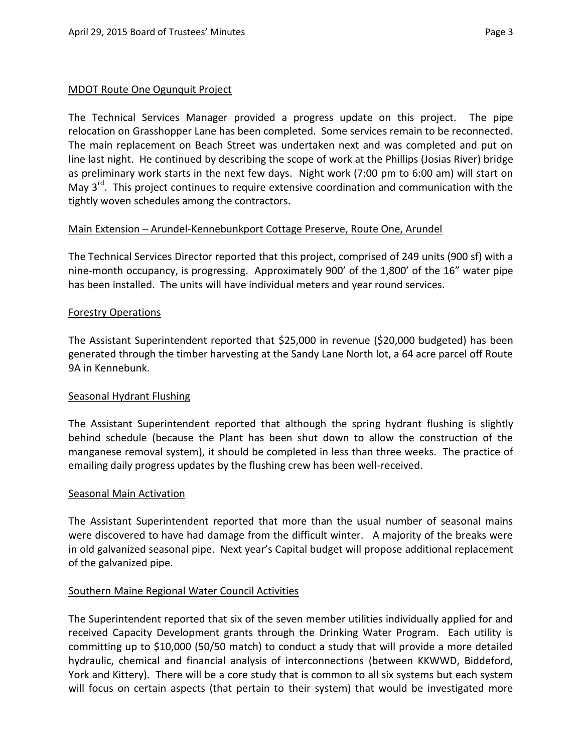The Technical Services Manager provided a progress update on this project. The pipe relocation on Grasshopper Lane has been completed. Some services remain to be reconnected. The main replacement on Beach Street was undertaken next and was completed and put on line last night. He continued by describing the scope of work at the Phillips (Josias River) bridge as preliminary work starts in the next few days. Night work (7:00 pm to 6:00 am) will start on May 3<sup>rd</sup>. This project continues to require extensive coordination and communication with the tightly woven schedules among the contractors.

### Main Extension – Arundel-Kennebunkport Cottage Preserve, Route One, Arundel

The Technical Services Director reported that this project, comprised of 249 units (900 sf) with a nine-month occupancy, is progressing. Approximately 900' of the 1,800' of the 16" water pipe has been installed. The units will have individual meters and year round services.

### Forestry Operations

The Assistant Superintendent reported that \$25,000 in revenue (\$20,000 budgeted) has been generated through the timber harvesting at the Sandy Lane North lot, a 64 acre parcel off Route 9A in Kennebunk.

#### Seasonal Hydrant Flushing

The Assistant Superintendent reported that although the spring hydrant flushing is slightly behind schedule (because the Plant has been shut down to allow the construction of the manganese removal system), it should be completed in less than three weeks. The practice of emailing daily progress updates by the flushing crew has been well-received.

#### Seasonal Main Activation

The Assistant Superintendent reported that more than the usual number of seasonal mains were discovered to have had damage from the difficult winter. A majority of the breaks were in old galvanized seasonal pipe. Next year's Capital budget will propose additional replacement of the galvanized pipe.

# Southern Maine Regional Water Council Activities

The Superintendent reported that six of the seven member utilities individually applied for and received Capacity Development grants through the Drinking Water Program. Each utility is committing up to \$10,000 (50/50 match) to conduct a study that will provide a more detailed hydraulic, chemical and financial analysis of interconnections (between KKWWD, Biddeford, York and Kittery). There will be a core study that is common to all six systems but each system will focus on certain aspects (that pertain to their system) that would be investigated more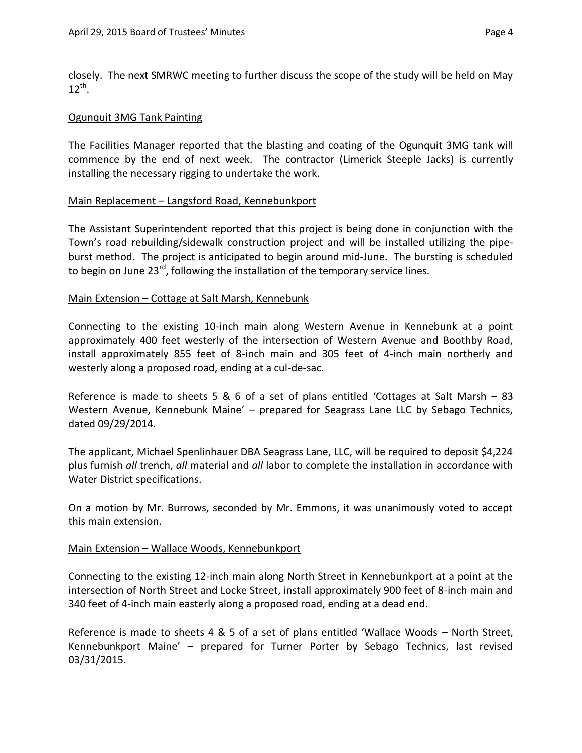closely. The next SMRWC meeting to further discuss the scope of the study will be held on May  $12^{th}$ .

### Ogunquit 3MG Tank Painting

The Facilities Manager reported that the blasting and coating of the Ogunquit 3MG tank will commence by the end of next week. The contractor (Limerick Steeple Jacks) is currently installing the necessary rigging to undertake the work.

### Main Replacement – Langsford Road, Kennebunkport

The Assistant Superintendent reported that this project is being done in conjunction with the Town's road rebuilding/sidewalk construction project and will be installed utilizing the pipeburst method. The project is anticipated to begin around mid-June. The bursting is scheduled to begin on June 23<sup>rd</sup>, following the installation of the temporary service lines.

### Main Extension – Cottage at Salt Marsh, Kennebunk

Connecting to the existing 10-inch main along Western Avenue in Kennebunk at a point approximately 400 feet westerly of the intersection of Western Avenue and Boothby Road, install approximately 855 feet of 8-inch main and 305 feet of 4-inch main northerly and westerly along a proposed road, ending at a cul-de-sac.

Reference is made to sheets 5 & 6 of a set of plans entitled 'Cottages at Salt Marsh – 83 Western Avenue, Kennebunk Maine' – prepared for Seagrass Lane LLC by Sebago Technics, dated 09/29/2014.

The applicant, Michael Spenlinhauer DBA Seagrass Lane, LLC, will be required to deposit \$4,224 plus furnish *all* trench, *all* material and *all* labor to complete the installation in accordance with Water District specifications.

On a motion by Mr. Burrows, seconded by Mr. Emmons, it was unanimously voted to accept this main extension.

#### Main Extension – Wallace Woods, Kennebunkport

Connecting to the existing 12-inch main along North Street in Kennebunkport at a point at the intersection of North Street and Locke Street, install approximately 900 feet of 8-inch main and 340 feet of 4-inch main easterly along a proposed road, ending at a dead end.

Reference is made to sheets 4 & 5 of a set of plans entitled 'Wallace Woods – North Street, Kennebunkport Maine' – prepared for Turner Porter by Sebago Technics, last revised 03/31/2015.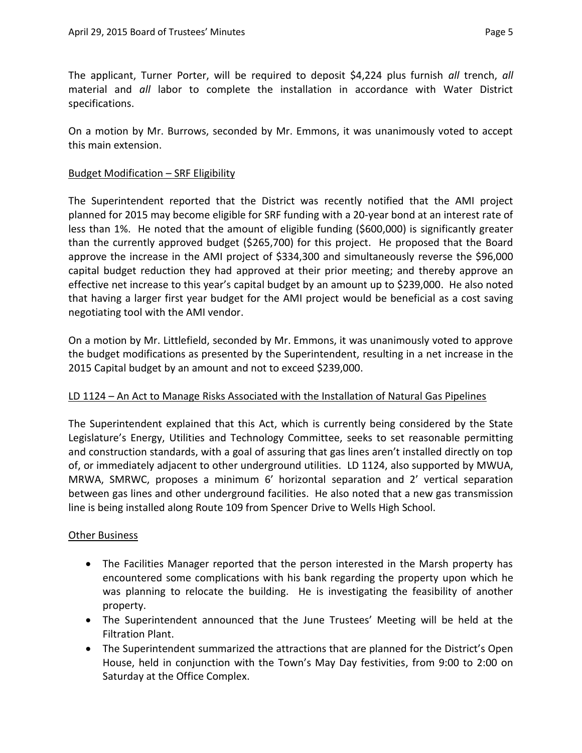The applicant, Turner Porter, will be required to deposit \$4,224 plus furnish *all* trench, *all* material and *all* labor to complete the installation in accordance with Water District specifications.

On a motion by Mr. Burrows, seconded by Mr. Emmons, it was unanimously voted to accept this main extension.

### Budget Modification – SRF Eligibility

The Superintendent reported that the District was recently notified that the AMI project planned for 2015 may become eligible for SRF funding with a 20-year bond at an interest rate of less than 1%. He noted that the amount of eligible funding (\$600,000) is significantly greater than the currently approved budget (\$265,700) for this project. He proposed that the Board approve the increase in the AMI project of \$334,300 and simultaneously reverse the \$96,000 capital budget reduction they had approved at their prior meeting; and thereby approve an effective net increase to this year's capital budget by an amount up to \$239,000. He also noted that having a larger first year budget for the AMI project would be beneficial as a cost saving negotiating tool with the AMI vendor.

On a motion by Mr. Littlefield, seconded by Mr. Emmons, it was unanimously voted to approve the budget modifications as presented by the Superintendent, resulting in a net increase in the 2015 Capital budget by an amount and not to exceed \$239,000.

# LD 1124 – An Act to Manage Risks Associated with the Installation of Natural Gas Pipelines

The Superintendent explained that this Act, which is currently being considered by the State Legislature's Energy, Utilities and Technology Committee, seeks to set reasonable permitting and construction standards, with a goal of assuring that gas lines aren't installed directly on top of, or immediately adjacent to other underground utilities. LD 1124, also supported by MWUA, MRWA, SMRWC, proposes a minimum 6' horizontal separation and 2' vertical separation between gas lines and other underground facilities. He also noted that a new gas transmission line is being installed along Route 109 from Spencer Drive to Wells High School.

#### **Other Business**

- The Facilities Manager reported that the person interested in the Marsh property has encountered some complications with his bank regarding the property upon which he was planning to relocate the building. He is investigating the feasibility of another property.
- The Superintendent announced that the June Trustees' Meeting will be held at the Filtration Plant.
- The Superintendent summarized the attractions that are planned for the District's Open House, held in conjunction with the Town's May Day festivities, from 9:00 to 2:00 on Saturday at the Office Complex.